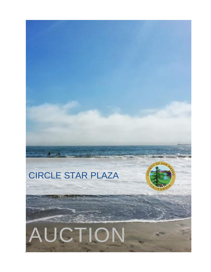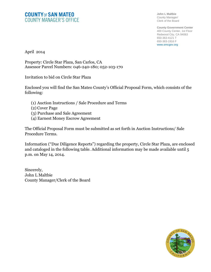### **COUNTY OF SAN MATEO COUNTY MANAGER'S OFFICE**

**John L Maltbie** County Manager/ Clerk of the Board

**County Government Center** 400 County Center, 1st Floor Redwood City, CA 94063 650-363-4121 T 650-363-1916 F www.smcgov.org

April 2014

Property: Circle Star Plaza, San Carlos, CA Assessor Parcel Numbers: 046-240-180; 052-103-170

Invitation to bid on Circle Star Plaza

Enclosed you will find the San Mateo County's Official Proposal Form, which consists of the following:

- (1) Auction Instructions / Sale Procedure and Terms
- (2) Cover Page
- (3) Purchase and Sale Agreement
- (4) Earnest Money Escrow Agreement

The Official Proposal Form must be submitted as set forth in Auction Instructions/ Sale Procedure Terms.

Information ("Due Diligence Reports") regarding the property, Circle Star Plaza, are enclosed and cataloged in the following table. Additional information may be made available until 5 p.m. on May 14, 2014.

Sincerely, John L Maltbie County Manager/Clerk of the Board

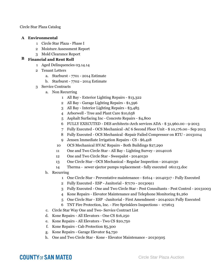Circle Star Plaza Catalog

### **A Environmental**

- Circle Star Plaza Phase I
- Moisture Assessment Report
- Mold Clearance Report

### **B Financial and Rent Roll**

- Aged Delinquencies 03.14.14
- Tenant Letters
	- a. Starburst 7701 2014 Estimate
	- b. Starburst 7702 2014 Estimate
- Service Contracts
	- a. Non Recurring
		- All Bay Exterior Lighting Repairs \$13,322
		- All Bay Garage Lighting Repairs \$1,596
		- All Bay Interior Lighting Repairs \$3,485
		- Arborwell Tree and Plant Care \$10,658
		- Asphalt Surfacing Inc Concrete Repairs \$4,800
		- FULLY EXECUTED DES architects-Arch services ADA \$ 31,960.00 9-2013
		- Fully Executed OCS Mechanical -AC 6 Second Floor Unit \$ 10,176.00 Sep 2013
		- Fully Executed OCS Mechanical -Repair Failed Compressor on RTU 20131014
		- Jensen Immediate Irrigation Repairs CS \$6,418
		- OCS Mechanical HVAC Repairs Both Buildings \$27,290
		- One and Two Circle Star All Bay Lighting Survey 20140116
		- One and Two Circle Star Sweepalot 20140130
		- One Circle Star OCS Mechanical Regular Inspection 20140130
		- Therma sewer ejector pumps replacement fully executed 061113.doc
	- b. Recurring
		- One Circle Star Preventative maintenance \$1614 20140317 Fully Executed
		- Fully Executed ESP Janitorial \$7170 20130911
		- Fully Executed One and Two Circle Star Pest Consultants Pest Control 20131003
		- Kone Repairs Elevator Maintenance and Telephone Monitoring \$1,260
		- One Circle Star ESP -Janitorial First Amendment 20140221 Fully Executed
		- TNT Fire Protection, Inc. Fire Sprinklers Inspections 072613
	- c. Circle Star Way One and Two- Service Contract List
	- d. Kone Repairs All Elevators One CS \$16,250
	- e. Kone Repairs All Elevators Two CS \$20,750
	- f. Kone Repairs Cab Protection \$5,300
	- g. Kone Repairs Garage Elevator \$4,750
	- h. One and Two Circle Star Kone Elevator Maintenance 20130305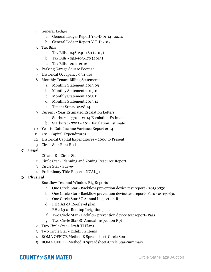- 4 General Ledger
	- a. General Ledger Report Y-T-D 01.14\_02.14
	- b. General Ledger Report Y-T-D 2013
- 5 Tax Bills
	- a. Tax Bills 046-240-180 (2013)
	- b. Tax Bills 052-103-170 (2013)
	- c. Tax Bills 2011-2012
- 6 Parking Garage Square Footage
- 7 Historical Occupancy 03.17.14
- 8 Monthly Tenant Billing Statements
	- a. Monthly Statement 2013.09
	- b. Monthly Statement 2013.10
	- c. Monthly Statement 2013.11
	- d. Monthly Statement 2013.12
	- e. Tenant Stmts 02.28.14
- 9 Current Year Estimated Escalation Letters
	- a. Starburst 7701 2014 Escalation Estimate
	- b. Starburst 7702 2014 Escalation Estimate
- 10 Year to Date Income Variance Report 2014
- 11 2014 Capital Expenditures
- 12 Historical Capital Expenditures 2006 to Present
- 13 Circle Star Rent Roll
- **C Legal**
	- 1 CC and R Circle Star
	- 2 Circle Star Planning and Zoning Resource Report
	- 3 Circle Star Survey
	- 4 Preliminary Title Report NCAL\_1
- **D Physical**
	- 1 Backflow Test and Window Rig Reports
		- a. One Circle Star Backflow prevention device test report 20130830
		- b. One Circle Star Backflow prevention device test report- Pass 20130830
		- c. One Circle Star SC Annual Inspection Rpt
		- d. PH2 A2 05 Rooflevel plan
		- e. PH2 L3 01 Rooftop Irrigation plan
		- f. Two Circle Star Backflow prevention device test report- Pass
		- g. Two Circle Star SC Annual Inspection Rpt
	- 2 Two Circle Star Draft TI Plans
	- 3 Two Circle Star Exhibit G Items
	- 4 BOMA OFFICE Method B Spreadsheet-Circle Star
	- 5 BOMA OFFICE Method B Spreadsheet-Circle Star-Summary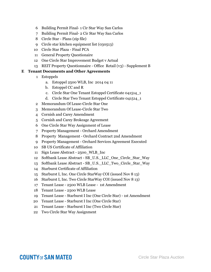- Building Permit Final- 1 Cir Star Way San Carlos
- Building Permit Final- 2 Cir Star Way San Carlos
- Circle Star Plans (zip file)
- Circle star kitchen equipment list (030513)
- Circle Star Plaza Final PCA
- General Property Questionaire
- One Circle Star Improvement Budget v Actual
- REIT Property Questionnaire Office Retail (v3) Supplement B

#### **E Tenant Documents and Other Agreements**

- Estoppels
	- a. Estoppel 2500 WLB, Inc 2014 04 11
	- b. Estoppel CC and R
	- c. Circle Star One Tenant Estoppel Certificate 041514\_1
	- d. Circle Star Two Tenant Estoppel Certificate 041514\_1
- Memorandum Of Lease-Circle Star One
- Memorandum Of Lease-Circle Star Two
- Cornish and Carey Amendment
- Cornish and Carey Brokeage Agreement
- One Circle Star Way Assignment of Lease
- Property Management Orchard Amendment
- Property Management Orchard Contract 2nd Amendment
- Property Management Orchard Services Agreement Executed
- SB US Certificate of Affiliation
- Sign Lease Abstract 2500\_WLB\_Inc
- Softbank Lease Abstract SB\_U.S.\_LLC\_One\_Circle\_Star\_Way
- Softbank Lease Abstract SB\_U.S.\_LLC\_Two\_Circle\_Star\_Way
- Starburst Certificate of Affiliation
- Starburst I, Inc. One Circle StarWay COI (issued Nov 8 13)
- Starburst I, Inc. Two Circle StarWay COI (issued Nov 8 13)
- Tenant Lease 2500 WLB Lease 1st Amendment
- Tenant Lease 2500 WLB Lease
- Tenant Lease Starburst I Inc (One Circle Star) 1st Amendment
- Tenant Lease Starburst I Inc (One Circle Star)
- Tenant Lease Starburst I Inc (Two Circle Star)
- Two Circle Star Way Assignment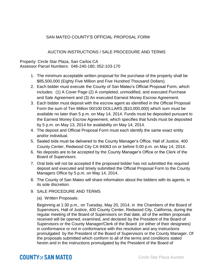### SAN MATEO COUNTY'S OFFICIAL PROPOSAL FORM

### AUCTION INSTRUCTIONS / SALE PROCEDURE AND TERMS

Property: Circle Star Plaza, San Carlos CA Assessor Parcel Numbers: 046-240-180; 052-103-170

- 1. The minimum acceptable written proposal for the purchase of the property shall be \$85,500,000 (Eighty Five Million and Five Hundred Thousand Dollars).
- 2. Each bidder must execute the County of San Mateo's Official Proposal Form, which includes: (1) A Cover Page (2) A completed, unmodified, and executed Purchase and Sale Agreement and (3) An executed Earnest Money Escrow Agreement.
- 3. Each bidder must deposit with the escrow agent as identified in the Official Proposal Form the sum of Ten Million 00/100 DOLLARS (\$10,000,000) which sum must be available no later than 5 p.m. on May 14, 2014. Funds must be deposited pursuant to the Earnest Money Escrow Agreement, which specifies that funds must be deposited by 5 p.m. on May 13, 2014 for availability on May 14, 2014.
- 4. The deposit and Official Proposal Form must each identify the same exact entity and/or individual.
- 5. Sealed bids must be delivered to the County Manager's Office, Hall of Justice, 400 County Center, Redwood City CA 94063 on or before 5:00 p.m. on May 14, 2014.
- 6. No deposits are to be accepted by the County Manager's Office or the Clerk of the Board of Supervisors.
- 7. Oral bids will not be accepted if the proposed bidder has not submitted the required deposit and executed and timely submitted the Official Proposal Form to the County Managers Office by 5 p.m. on May 14, 2014.
- 8. The County of San Mateo will share information about the bidders with its agents, in its sole discretion.
- 9. SALE PROCEDURE AND TERMS
	- (a) Written Proposals:

Beginning at 1:30 p.m., on Tuesday, May 20, 2014, in the Chambers of the Board of Supervisors, Hall of Justice, 400 County Center, Redwood City, California, during the regular meeting of the Board of Supervisors on that date, all of the written proposals received will be opened, examined, and declared by the President of the Board of Supervisors or the County Manager/Clerk of the Board (or either of their designees) in conformance or not in conformance with this resolution and any instructions promulgated by the President of the Board of Supervisors or the County Manager. Of the proposals submitted which conform to all of the terms and conditions stated herein and in the instructions promulgated by the President of the Board of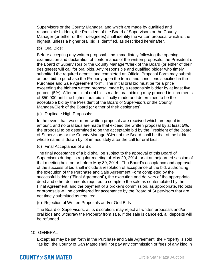Supervisors or the County Manager, and which are made by qualified and responsible bidders, the President of the Board of Supervisors or the County Manager (or either or their designees) shall identify the written proposal which is the highest, unless a higher oral bid is identified, as described hereinafter.

(b) Oral Bids:

Before accepting any written proposal, and immediately following the opening, examination and declaration of conformance of the written proposals, the President of the Board of Supervisors or the County Manager/Clerk of the Board (or either of their designees) will call for oral bids. Any responsible and qualified bidder who timely submitted the required deposit and completed an Official Proposal Form may submit an oral bid to purchase the Property upon the terms and conditions specified in the Purchase and Sale Agreement form. The initial oral bid must be for a price exceeding the highest written proposal made by a responsible bidder by at least five percent (5%). After an initial oral bid is made, oral bidding may proceed in increments of \$50,000 until the highest oral bid is finally made and determined to be the acceptable bid by the President of the Board of Supervisors or the County Manager/Clerk of the Board (or either of their designees)

(c) Duplicate High Proposals:

In the event that two or more written proposals are received which are equal in amount, and no oral bids are made that exceed the written proposal by at least 5%, the proposal to be determined to be the acceptable bid by the President of the Board of Supervisors or the County Manager/Clerk of the Board shall be that of the bidder whose name is drawn by lot immediately after the call for oral bids.

(d) Final Acceptance of a Bid:

The final acceptance of a bid shall be subject to the approval of this Board of Supervisors during its regular meeting of May 20, 2014, or at an adjourned session of that meeting held on or before May 30, 2014. The Board's acceptance and approval of the successful bid shall include a resolution of acceptance of the bid, authorizing the execution of the Purchase and Sale Agreement Form completed by the successful bidder ("Final Agreement"), the execution and delivery of the appropriate deed and other documents required to complete the sale as contemplated by the Final Agreement, and the payment of a broker's commission, as appropriate. No bids or proposals will be considered for acceptance by the Board of Supervisors that are not timely submitted as required.

(e) Rejection of Written Proposals and/or Oral Bids

The Board of Supervisors, at its discretion, may reject all written proposals and/or oral bids and withdraw the Property from sale. If the sale is canceled, all deposits will be refunded.

10. GENERAL

Except as may be set forth in the Purchase and Sale Agreement, the Property is sold "as is;" the County of San Mateo shall not pay any commission or fees of any kind in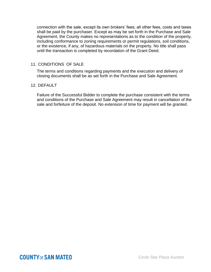connection with the sale, except its own brokers' fees; all other fees, costs and taxes shall be paid by the purchaser. Except as may be set forth in the Purchase and Sale Agreement, the County makes no representations as to the condition of the property, including conformance to zoning requirements or permit regulations, soil conditions, or the existence, if any, of hazardous materials on the property. No title shall pass until the transaction is completed by recordation of the Grant Deed.

#### 11. CONDITIONS OF SALE

The terms and conditions regarding payments and the execution and delivery of closing documents shall be as set forth in the Purchase and Sale Agreement.

#### 12. DEFAULT

Failure of the Successful Bidder to complete the purchase consistent with the terms and conditions of the Purchase and Sale Agreement may result in cancellation of the sale and forfeiture of the deposit. No extension of time for payment will be granted.